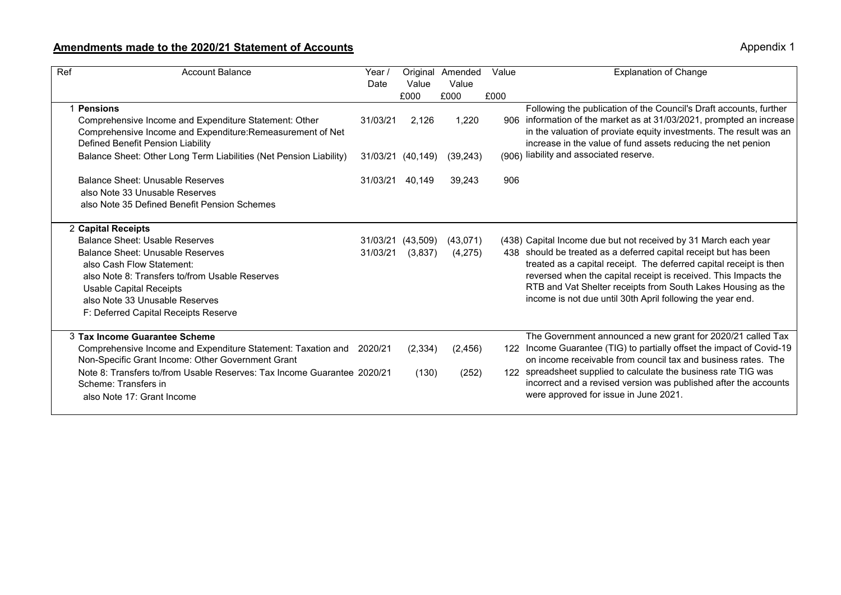## **Amendments made to the 2020/21 Statement of Accounts**

Appendix 1

| $\overline{Ref}$<br><b>Account Balance</b>                                                                                                                                                                                         | Year /<br>Date | Value             | Original Amended<br>Value | Value | <b>Explanation of Change</b>                                                                                                                                                                                                                                                                                                            |
|------------------------------------------------------------------------------------------------------------------------------------------------------------------------------------------------------------------------------------|----------------|-------------------|---------------------------|-------|-----------------------------------------------------------------------------------------------------------------------------------------------------------------------------------------------------------------------------------------------------------------------------------------------------------------------------------------|
|                                                                                                                                                                                                                                    |                | £000              | £000                      | £000  |                                                                                                                                                                                                                                                                                                                                         |
| 1 Pensions<br>Comprehensive Income and Expenditure Statement: Other<br>Comprehensive Income and Expenditure: Remeasurement of Net<br>Defined Benefit Pension Liability                                                             | 31/03/21       | 2,126             | 1,220                     |       | Following the publication of the Council's Draft accounts, further<br>906 information of the market as at 31/03/2021, prompted an increase<br>in the valuation of proviate equity investments. The result was an<br>increase in the value of fund assets reducing the net penion                                                        |
| Balance Sheet: Other Long Term Liabilities (Net Pension Liability)                                                                                                                                                                 |                | 31/03/21 (40,149) | (39, 243)                 |       | (906) liability and associated reserve.                                                                                                                                                                                                                                                                                                 |
| Balance Sheet: Unusable Reserves<br>also Note 33 Unusable Reserves<br>also Note 35 Defined Benefit Pension Schemes                                                                                                                 | 31/03/21       | 40,149            | 39,243                    | 906   |                                                                                                                                                                                                                                                                                                                                         |
| 2 Capital Receipts                                                                                                                                                                                                                 |                |                   |                           |       |                                                                                                                                                                                                                                                                                                                                         |
| Balance Sheet: Usable Reserves                                                                                                                                                                                                     |                | 31/03/21 (43.509) | (43,071)                  |       | (438) Capital Income due but not received by 31 March each year                                                                                                                                                                                                                                                                         |
| <b>Balance Sheet: Unusable Reserves</b><br>also Cash Flow Statement:<br>also Note 8: Transfers to/from Usable Reserves<br><b>Usable Capital Receipts</b><br>also Note 33 Unusable Reserves<br>F: Deferred Capital Receipts Reserve | 31/03/21       | (3,837)           | (4,275)                   |       | 438 should be treated as a deferred capital receipt but has been<br>treated as a capital receipt. The deferred capital receipt is then<br>reversed when the capital receipt is received. This Impacts the<br>RTB and Vat Shelter receipts from South Lakes Housing as the<br>income is not due until 30th April following the year end. |
| 3 Tax Income Guarantee Scheme                                                                                                                                                                                                      |                |                   |                           |       | The Government announced a new grant for 2020/21 called Tax                                                                                                                                                                                                                                                                             |
| Comprehensive Income and Expenditure Statement: Taxation and 2020/21<br>Non-Specific Grant Income: Other Government Grant                                                                                                          |                | (2, 334)          | (2, 456)                  |       | 122 Income Guarantee (TIG) to partially offset the impact of Covid-19<br>on income receivable from council tax and business rates. The                                                                                                                                                                                                  |
| Note 8: Transfers to/from Usable Reserves: Tax Income Guarantee 2020/21<br>Scheme: Transfers in<br>also Note 17: Grant Income                                                                                                      |                | (130)             | (252)                     |       | 122 spreadsheet supplied to calculate the business rate TIG was<br>incorrect and a revised version was published after the accounts<br>were approved for issue in June 2021.                                                                                                                                                            |